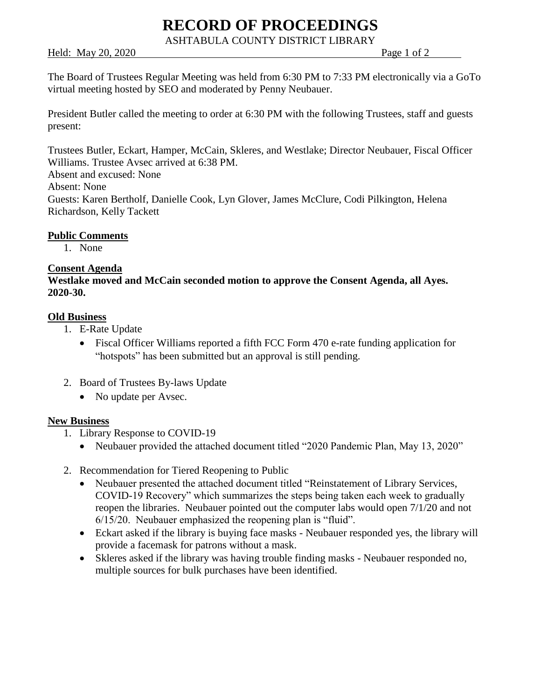# **RECORD OF PROCEEDINGS**

ASHTABULA COUNTY DISTRICT LIBRARY

Held: May 20, 2020 **Page 1 of 2** 

The Board of Trustees Regular Meeting was held from 6:30 PM to 7:33 PM electronically via a GoTo virtual meeting hosted by SEO and moderated by Penny Neubauer.

President Butler called the meeting to order at 6:30 PM with the following Trustees, staff and guests present:

Trustees Butler, Eckart, Hamper, McCain, Skleres, and Westlake; Director Neubauer, Fiscal Officer Williams. Trustee Avsec arrived at 6:38 PM.

Absent and excused: None

Absent: None

Guests: Karen Bertholf, Danielle Cook, Lyn Glover, James McClure, Codi Pilkington, Helena Richardson, Kelly Tackett

## **Public Comments**

1. None

#### **Consent Agenda**

**Westlake moved and McCain seconded motion to approve the Consent Agenda, all Ayes. 2020-30.**

## **Old Business**

- 1. E-Rate Update
	- Fiscal Officer Williams reported a fifth FCC Form 470 e-rate funding application for "hotspots" has been submitted but an approval is still pending.
- 2. Board of Trustees By-laws Update
	- No update per Avsec.

#### **New Business**

- 1. Library Response to COVID-19
	- Neubauer provided the attached document titled "2020 Pandemic Plan, May 13, 2020"
- 2. Recommendation for Tiered Reopening to Public
	- Neubauer presented the attached document titled "Reinstatement of Library Services, COVID-19 Recovery" which summarizes the steps being taken each week to gradually reopen the libraries. Neubauer pointed out the computer labs would open 7/1/20 and not 6/15/20. Neubauer emphasized the reopening plan is "fluid".
	- Eckart asked if the library is buying face masks Neubauer responded yes, the library will provide a facemask for patrons without a mask.
	- Skleres asked if the library was having trouble finding masks Neubauer responded no, multiple sources for bulk purchases have been identified.